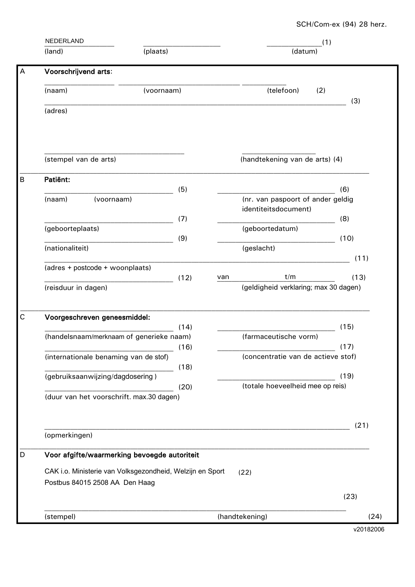|             | NEDERLAND<br>(plaats)<br>(land)                                                                     |            | (1) |                                                           |           |
|-------------|-----------------------------------------------------------------------------------------------------|------------|-----|-----------------------------------------------------------|-----------|
|             |                                                                                                     |            |     | (datum)                                                   |           |
| A           | Voorschrijvend arts:                                                                                |            |     |                                                           |           |
|             | (naam)                                                                                              | (voornaam) |     | (telefoon)<br>(2)                                         |           |
|             | (adres)                                                                                             |            |     |                                                           | (3)       |
|             |                                                                                                     |            |     |                                                           |           |
|             |                                                                                                     |            |     |                                                           |           |
|             | (stempel van de arts)                                                                               |            |     | (handtekening van de arts) (4)                            |           |
| $\sf B$     | Patiënt:                                                                                            | (5)        |     |                                                           | (6)       |
|             | (voornaam)<br>(naam)                                                                                |            |     | (nr. van paspoort of ander geldig<br>identiteitsdocument) |           |
|             |                                                                                                     | (7)        |     |                                                           | (8)       |
|             | (geboorteplaats)                                                                                    | (9)        |     | (geboortedatum)                                           | (10)      |
|             | (nationaliteit)                                                                                     |            |     | (geslacht)                                                | (11)      |
|             | (adres + postcode + woonplaats)                                                                     |            |     |                                                           |           |
|             | (reisduur in dagen)                                                                                 | (12)       | van | t/m<br>(geldigheid verklaring; max 30 dagen)              | (13)      |
|             |                                                                                                     |            |     |                                                           |           |
| $\mathsf C$ | Voorgeschreven geneesmiddel:                                                                        |            |     |                                                           |           |
|             | (handelsnaam/merknaam of generieke naam)                                                            | (14)       |     | (farmaceutische vorm)                                     | (15)      |
|             |                                                                                                     | (16)       |     |                                                           | (17)      |
|             | (internationale benaming van de stof)                                                               | (18)       |     | (concentratie van de actieve stof)                        |           |
|             | (gebruiksaanwijzing/dagdosering)                                                                    |            |     |                                                           | (19)      |
|             | (duur van het voorschrift. max.30 dagen)                                                            | (20)       |     | (totale hoeveelheid mee op reis)                          |           |
|             |                                                                                                     |            |     |                                                           |           |
|             |                                                                                                     |            |     |                                                           | (21)      |
|             | (opmerkingen)                                                                                       |            |     |                                                           |           |
| D           | Voor afgifte/waarmerking bevoegde autoriteit                                                        |            |     |                                                           |           |
|             | CAK i.o. Ministerie van Volksgezondheid, Welzijn en Sport<br>(22)<br>Postbus 84015 2508 AA Den Haag |            |     |                                                           |           |
|             |                                                                                                     |            |     |                                                           | (23)      |
|             | (stempel)                                                                                           |            |     | (handtekening)                                            | (24)      |
|             |                                                                                                     |            |     |                                                           | v20182006 |